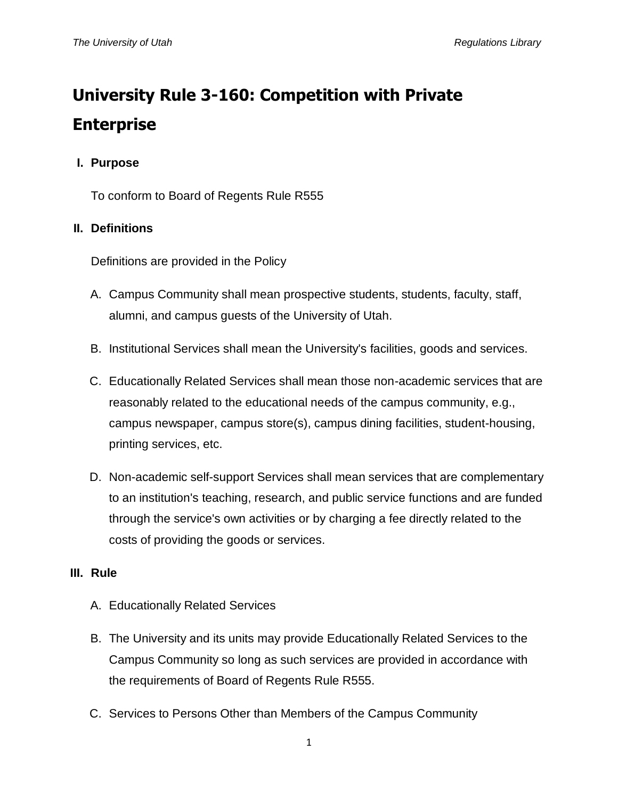# **University Rule 3-160: Competition with Private Enterprise**

## **I. Purpose**

To conform to Board of Regents Rule R555

## **II. Definitions**

Definitions are provided in the Policy

- A. Campus Community shall mean prospective students, students, faculty, staff, alumni, and campus guests of the University of Utah.
- B. Institutional Services shall mean the University's facilities, goods and services.
- C. Educationally Related Services shall mean those non-academic services that are reasonably related to the educational needs of the campus community, e.g., campus newspaper, campus store(s), campus dining facilities, student-housing, printing services, etc.
- D. Non-academic self-support Services shall mean services that are complementary to an institution's teaching, research, and public service functions and are funded through the service's own activities or by charging a fee directly related to the costs of providing the goods or services.

## **III. Rule**

- A. Educationally Related Services
- B. The University and its units may provide Educationally Related Services to the Campus Community so long as such services are provided in accordance with the requirements of Board of Regents Rule R555.
- C. Services to Persons Other than Members of the Campus Community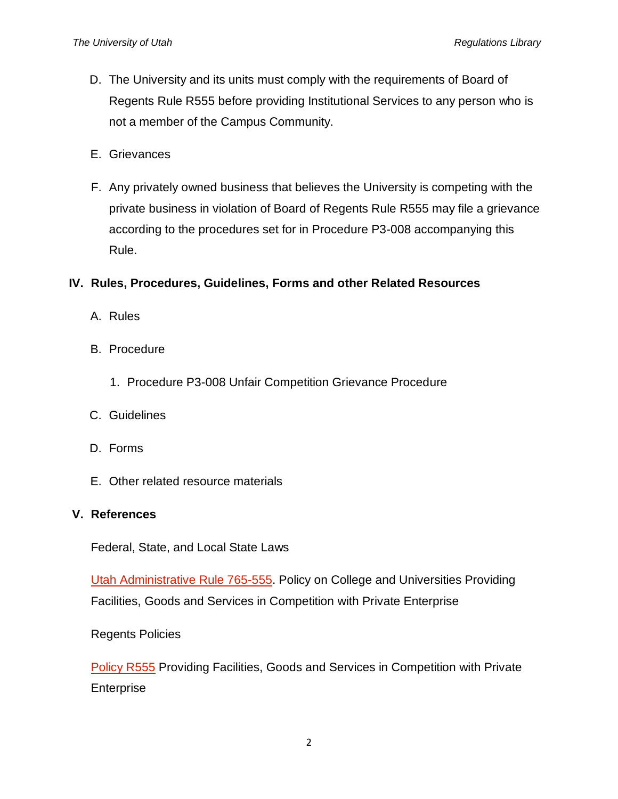- D. The University and its units must comply with the requirements of Board of Regents Rule R555 before providing Institutional Services to any person who is not a member of the Campus Community.
- E. Grievances
- F. Any privately owned business that believes the University is competing with the private business in violation of Board of Regents Rule R555 may file a grievance according to the procedures set for in Procedure P3-008 accompanying this Rule.

### **IV. Rules, Procedures, Guidelines, Forms and other Related Resources**

- A. Rules
- B. Procedure
	- 1. Procedure P3-008 Unfair Competition Grievance Procedure
- C. Guidelines
- D. Forms
- E. Other related resource materials

#### **V. References**

Federal, State, and Local State Laws

[Utah Administrative Rule 765-555.](http://www.rules.utah.gov/publicat/code/r765/r765-555.htm) Policy on College and Universities Providing Facilities, Goods and Services in Competition with Private Enterprise

Regents Policies

[Policy R555](http://higheredutah.org/policies/#section5) Providing Facilities, Goods and Services in Competition with Private Enterprise